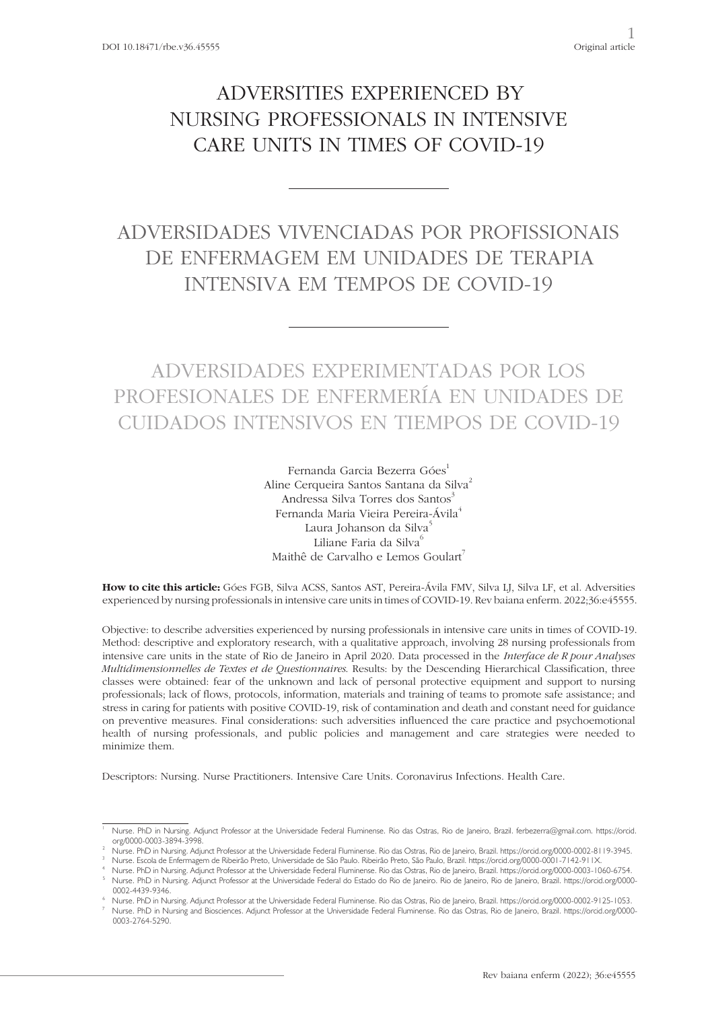# ADVERSITIES EXPERIENCED BY NURSING PROFESSIONALS IN INTENSIVE CARE UNITS IN TIMES OF COVID-19

# ADVERSIDADES VIVENCIADAS POR PROFISSIONAIS DE ENFERMAGEM EM UNIDADES DE TERAPIA INTENSIVA EM TEMPOS DE COVID-19

# ADVERSIDADES EXPERIMENTADAS POR LOS PROFESIONALES DE ENFERMERÍA EN UNIDADES DE CUIDADOS INTENSIVOS EN TIEMPOS DE COVID-19

Fernanda Garcia Bezerra Góes<sup>1</sup> Aline Cerqueira Santos Santana da Silva<sup>2</sup> Andressa Silva Torres dos Santos<sup>3</sup> Fernanda Maria Vieira Pereira-Ávila<sup>4</sup> Laura Johanson da Silva<sup>5</sup> Liliane Faria da Silva<sup>6</sup> Maithê de Carvalho e Lemos Goulart<sup>7</sup>

**How to cite this article:** Góes FGB, Silva ACSS, Santos AST, Pereira-Ávila FMV, Silva LJ, Silva LF, et al. Adversities experienced by nursing professionals in intensive care units in times of COVID-19. Rev baiana enferm. 2022;36:e45555.

Objective: to describe adversities experienced by nursing professionals in intensive care units in times of COVID-19. Method: descriptive and exploratory research, with a qualitative approach, involving 28 nursing professionals from intensive care units in the state of Rio de Janeiro in April 2020. Data processed in the *Interface de R pour Analyses Multidimensionnelles de Textes et de Questionnaires*. Results: by the Descending Hierarchical Classification, three classes were obtained: fear of the unknown and lack of personal protective equipment and support to nursing professionals; lack of flows, protocols, information, materials and training of teams to promote safe assistance; and stress in caring for patients with positive COVID-19, risk of contamination and death and constant need for guidance on preventive measures. Final considerations: such adversities influenced the care practice and psychoemotional health of nursing professionals, and public policies and management and care strategies were needed to minimize them.

Descriptors: Nursing. Nurse Practitioners. Intensive Care Units. Coronavirus Infections. Health Care.

Nurse. PhD in Nursing. Adjunct Professor at the Universidade Federal Fluminense. Rio das Ostras, Rio de Janeiro, Brazil. ferbezerra@gmail.com. https://orcid. org/0000-0003-3894-3998.

Nurse. PhD in Nursing. Adjunct Professor at the Universidade Federal Fluminense. Rio das Ostras, Rio de Janeiro, Brazil. https://orcid.org/0000-0002-8119-3945.<br>Nurse. Escola de Enfermagem de Ribeirão Preto, Universidade de

Nurse. PhD in Nursing. Adjunct Professor at the Universidade Federal Fluminense. Rio das Ostras, Rio de Janeiro, Brazil. https://orcid.org/0000-0003-1060-6754. Nurse. PhD in Nursing. Adjunct Professor at the Universidade Federal do Estado do Rio de Janeiro. Rio de Janeiro, Rio de Janeiro, Brazil. https://orcid.org/0000-0002-4439-9346.

<sup>6</sup> Nurse. PhD in Nursing. Adjunct Professor at the Universidade Federal Fluminense. Rio das Ostras, Rio de Janeiro, Brazil. https://orcid.org/0000-0002-9125-1053. <sup>7</sup> Nurse. PhD in Nursing and Biosciences. Adjunct Professor at the Universidade Federal Fluminense. Rio das Ostras, Rio de Janeiro, Brazil. https://orcid.org/0000- 0003-2764-5290.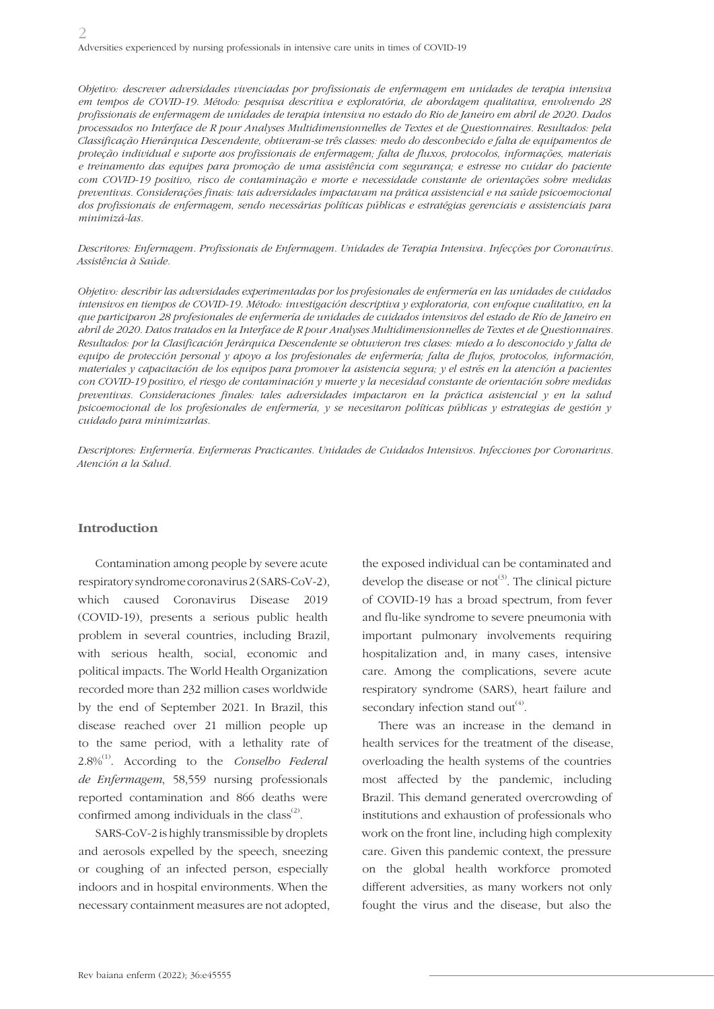*Objetivo: descrever adversidades vivenciadas por profissionais de enfermagem em unidades de terapia intensiva em tempos de COVID-19. Método: pesquisa descritiva e exploratória, de abordagem qualitativa, envolvendo 28 profissionais de enfermagem de unidades de terapia intensiva no estado do Rio de Janeiro em abril de 2020. Dados processados no Interface de R pour Analyses Multidimensionnelles de Textes et de Questionnaires. Resultados: pela Classificação Hierárquica Descendente, obtiveram-se três classes: medo do desconhecido e falta de equipamentos de proteção individual e suporte aos profissionais de enfermagem; falta de fluxos, protocolos, informações, materiais e treinamento das equipes para promoção de uma assistência com segurança; e estresse no cuidar do paciente com COVID-19 positivo, risco de contaminação e morte e necessidade constante de orientações sobre medidas preventivas. Considerações finais: tais adversidades impactavam na prática assistencial e na saúde psicoemocional dos profissionais de enfermagem, sendo necessárias políticas públicas e estratégias gerenciais e assistenciais para minimizá-las.*

*Descritores: Enfermagem. Profissionais de Enfermagem. Unidades de Terapia Intensiva. Infecções por Coronavírus. Assistência à Saúde.*

*Objetivo: describir las adversidades experimentadas por los profesionales de enfermería en las unidades de cuidados intensivos en tiempos de COVID-19. Método: investigación descriptiva y exploratoria, con enfoque cualitativo, en la que participaron 28 profesionales de enfermería de unidades de cuidados intensivos del estado de Río de Janeiro en abril de 2020. Datos tratados en la Interface de R pour Analyses Multidimensionnelles de Textes et de Questionnaires. Resultados: por la Clasificación Jerárquica Descendente se obtuvieron tres clases: miedo a lo desconocido y falta de equipo de protección personal y apoyo a los profesionales de enfermería; falta de flujos, protocolos, información, materiales y capacitación de los equipos para promover la asistencia segura; y el estrés en la atención a pacientes con COVID-19 positivo, el riesgo de contaminación y muerte y la necesidad constante de orientación sobre medidas preventivas. Consideraciones finales: tales adversidades impactaron en la práctica asistencial y en la salud psicoemocional de los profesionales de enfermería, y se necesitaron políticas públicas y estrategias de gestión y cuidado para minimizarlas.*

*Descriptores: Enfermería. Enfermeras Practicantes. Unidades de Cuidados Intensivos. Infecciones por Coronarivus. Atención a la Salud.*

### **Introduction**

Contamination among people by severe acute respiratory syndrome coronavirus 2 (SARS-CoV-2), which caused Coronavirus Disease 2019 (COVID-19), presents a serious public health problem in several countries, including Brazil, with serious health, social, economic and political impacts. The World Health Organization recorded more than 232 million cases worldwide by the end of September 2021. In Brazil, this disease reached over 21 million people up to the same period, with a lethality rate of 2.8%(1). According to the *Conselho Federal de Enfermagem*, 58,559 nursing professionals reported contamination and 866 deaths were confirmed among individuals in the class $^{(2)}$ .

SARS-CoV-2 is highly transmissible by droplets and aerosols expelled by the speech, sneezing or coughing of an infected person, especially indoors and in hospital environments. When the necessary containment measures are not adopted, the exposed individual can be contaminated and develop the disease or  $not^{(3)}$ . The clinical picture of COVID-19 has a broad spectrum, from fever and flu-like syndrome to severe pneumonia with important pulmonary involvements requiring hospitalization and, in many cases, intensive care. Among the complications, severe acute respiratory syndrome (SARS), heart failure and secondary infection stand out $^{(4)}$ .

There was an increase in the demand in health services for the treatment of the disease, overloading the health systems of the countries most affected by the pandemic, including Brazil. This demand generated overcrowding of institutions and exhaustion of professionals who work on the front line, including high complexity care. Given this pandemic context, the pressure on the global health workforce promoted different adversities, as many workers not only fought the virus and the disease, but also the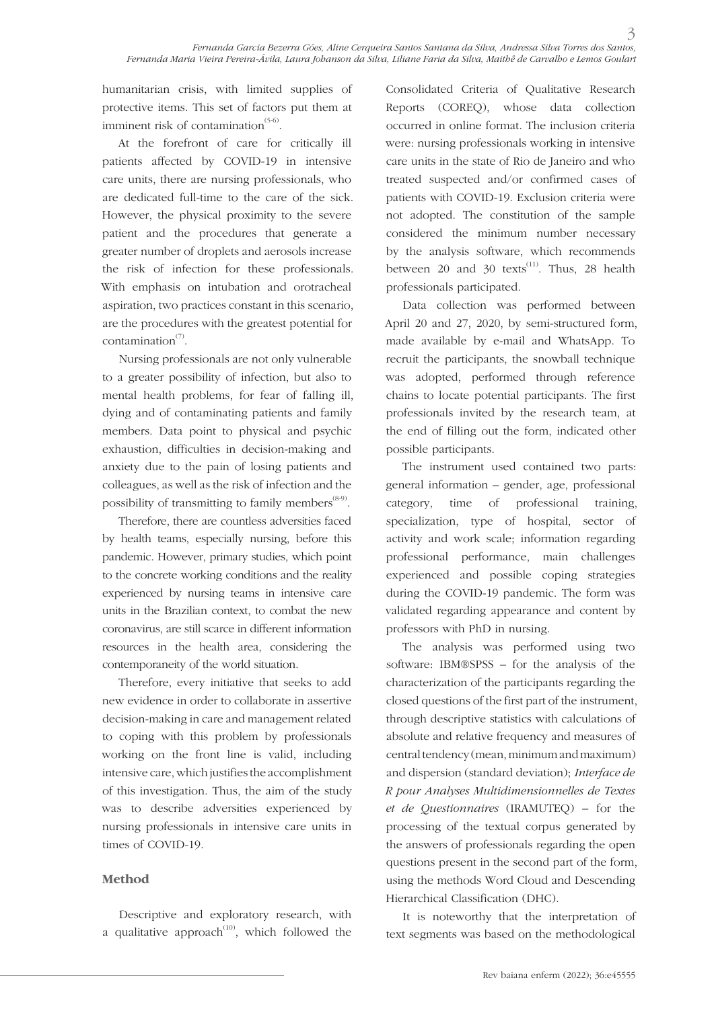humanitarian crisis, with limited supplies of protective items. This set of factors put them at imminent risk of contamination $(5-6)$ .

At the forefront of care for critically ill patients affected by COVID-19 in intensive care units, there are nursing professionals, who are dedicated full-time to the care of the sick. However, the physical proximity to the severe patient and the procedures that generate a greater number of droplets and aerosols increase the risk of infection for these professionals. With emphasis on intubation and orotracheal aspiration, two practices constant in this scenario, are the procedures with the greatest potential for contamination $\sigma$ <sup>(7)</sup>.

Nursing professionals are not only vulnerable to a greater possibility of infection, but also to mental health problems, for fear of falling ill, dying and of contaminating patients and family members. Data point to physical and psychic exhaustion, difficulties in decision-making and anxiety due to the pain of losing patients and colleagues, as well as the risk of infection and the possibility of transmitting to family members<sup> $(8-9)$ </sup>.

Therefore, there are countless adversities faced by health teams, especially nursing, before this pandemic. However, primary studies, which point to the concrete working conditions and the reality experienced by nursing teams in intensive care units in the Brazilian context, to combat the new coronavirus, are still scarce in different information resources in the health area, considering the contemporaneity of the world situation.

Therefore, every initiative that seeks to add new evidence in order to collaborate in assertive decision-making in care and management related to coping with this problem by professionals working on the front line is valid, including intensive care, which justifies the accomplishment of this investigation. Thus, the aim of the study was to describe adversities experienced by nursing professionals in intensive care units in times of COVID-19.

## **Method**

Descriptive and exploratory research, with a qualitative approach $(10)$ , which followed the Consolidated Criteria of Qualitative Research Reports (COREQ), whose data collection occurred in online format. The inclusion criteria were: nursing professionals working in intensive care units in the state of Rio de Janeiro and who treated suspected and/or confirmed cases of patients with COVID-19. Exclusion criteria were not adopted. The constitution of the sample considered the minimum number necessary by the analysis software, which recommends between 20 and 30 texts<sup>(11)</sup>. Thus, 28 health professionals participated.

Data collection was performed between April 20 and 27, 2020, by semi-structured form, made available by e-mail and WhatsApp. To recruit the participants, the snowball technique was adopted, performed through reference chains to locate potential participants. The first professionals invited by the research team, at the end of filling out the form, indicated other possible participants.

The instrument used contained two parts: general information – gender, age, professional category, time of professional training, specialization, type of hospital, sector of activity and work scale; information regarding professional performance, main challenges experienced and possible coping strategies during the COVID-19 pandemic. The form was validated regarding appearance and content by professors with PhD in nursing.

The analysis was performed using two software: IBM®SPSS – for the analysis of the characterization of the participants regarding the closed questions of the first part of the instrument, through descriptive statistics with calculations of absolute and relative frequency and measures of central tendency (mean, minimum and maximum) and dispersion (standard deviation); *Interface de R pour Analyses Multidimensionnelles de Textes et de Questionnaires* (IRAMUTEQ) – for the processing of the textual corpus generated by the answers of professionals regarding the open questions present in the second part of the form, using the methods Word Cloud and Descending Hierarchical Classification (DHC).

It is noteworthy that the interpretation of text segments was based on the methodological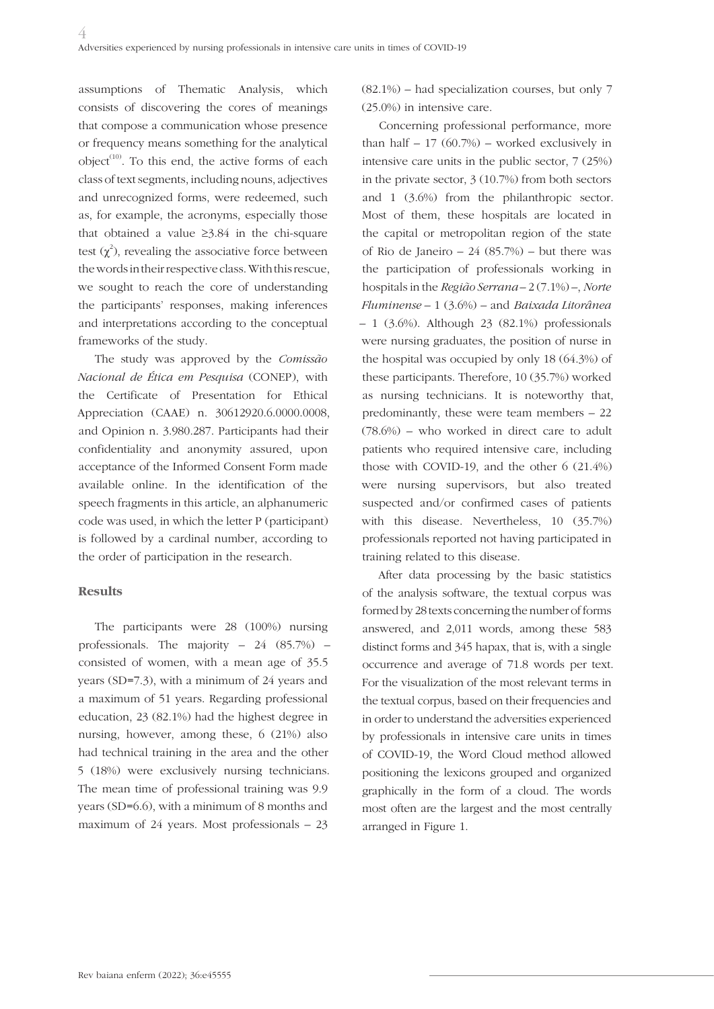assumptions of Thematic Analysis, which consists of discovering the cores of meanings that compose a communication whose presence or frequency means something for the analytical object<sup> $(10)$ </sup>. To this end, the active forms of each class of text segments, including nouns, adjectives and unrecognized forms, were redeemed, such as, for example, the acronyms, especially those that obtained a value ≥3.84 in the chi-square test  $(\chi^2)$ , revealing the associative force between the words in their respective class. With this rescue, we sought to reach the core of understanding the participants' responses, making inferences and interpretations according to the conceptual frameworks of the study.

The study was approved by the *Comissão Nacional de Ética em Pesquisa* (CONEP), with the Certificate of Presentation for Ethical Appreciation (CAAE) n. 30612920.6.0000.0008, and Opinion n. 3.980.287. Participants had their confidentiality and anonymity assured, upon acceptance of the Informed Consent Form made available online. In the identification of the speech fragments in this article, an alphanumeric code was used, in which the letter P (participant) is followed by a cardinal number, according to the order of participation in the research.

### **Results**

The participants were 28 (100%) nursing professionals. The majority – 24 (85.7%) – consisted of women, with a mean age of 35.5 years (SD=7.3), with a minimum of 24 years and a maximum of 51 years. Regarding professional education, 23 (82.1%) had the highest degree in nursing, however, among these, 6 (21%) also had technical training in the area and the other 5 (18%) were exclusively nursing technicians. The mean time of professional training was 9.9 years (SD=6.6), with a minimum of 8 months and maximum of 24 years. Most professionals – 23

 $(82.1\%)$  – had specialization courses, but only 7 (25.0%) in intensive care.

Concerning professional performance, more than half  $-17$  (60.7%) – worked exclusively in intensive care units in the public sector, 7 (25%) in the private sector, 3 (10.7%) from both sectors and 1 (3.6%) from the philanthropic sector. Most of them, these hospitals are located in the capital or metropolitan region of the state of Rio de Janeiro – 24 (85.7%) – but there was the participation of professionals working in hospitals in the *Região Serrana* – 2 (7.1%) –, *Norte Fluminense* – 1 (3.6%) – and *Baixada Litorânea*  $-1$  (3.6%). Although 23 (82.1%) professionals were nursing graduates, the position of nurse in the hospital was occupied by only 18 (64.3%) of these participants. Therefore, 10 (35.7%) worked as nursing technicians. It is noteworthy that, predominantly, these were team members – 22 (78.6%) – who worked in direct care to adult patients who required intensive care, including those with COVID-19, and the other 6 (21.4%) were nursing supervisors, but also treated suspected and/or confirmed cases of patients with this disease. Nevertheless, 10 (35.7%) professionals reported not having participated in training related to this disease.

After data processing by the basic statistics of the analysis software, the textual corpus was formed by 28 texts concerning the number of forms answered, and 2,011 words, among these 583 distinct forms and 345 hapax, that is, with a single occurrence and average of 71.8 words per text. For the visualization of the most relevant terms in the textual corpus, based on their frequencies and in order to understand the adversities experienced by professionals in intensive care units in times of COVID-19, the Word Cloud method allowed positioning the lexicons grouped and organized graphically in the form of a cloud. The words most often are the largest and the most centrally arranged in Figure 1.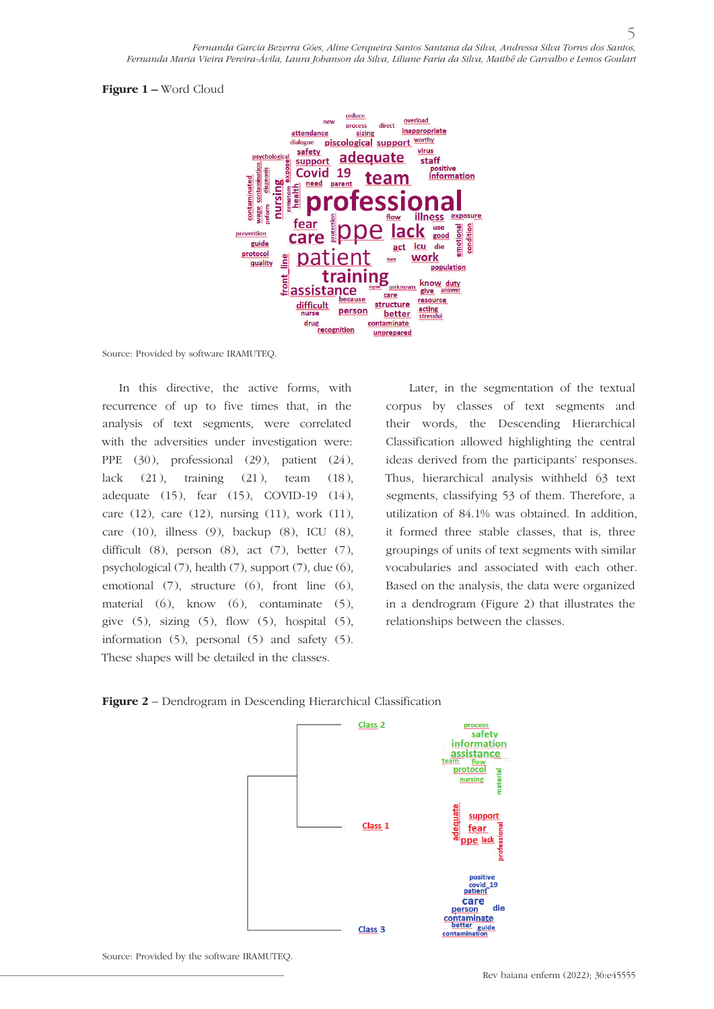#### **Figure 1 –** Word Cloud



Source: Provided by software IRAMUTEQ.

In this directive, the active forms, with recurrence of up to five times that, in the analysis of text segments, were correlated with the adversities under investigation were: PPE (30), professional (29), patient (24), lack  $(21)$ , training  $(21)$ , team  $(18)$ , adequate (15), fear (15), COVID-19 (14), care (12), care (12), nursing (11), work (11), care (10), illness (9), backup (8), ICU (8), difficult  $(8)$ , person  $(8)$ , act  $(7)$ , better  $(7)$ , psychological (7), health (7), support (7), due (6), emotional (7), structure (6), front line (6), material (6), know (6), contaminate (5), give  $(5)$ , sizing  $(5)$ , flow  $(5)$ , hospital  $(5)$ , information (5), personal (5) and safety (5). These shapes will be detailed in the classes.

 Later, in the segmentation of the textual corpus by classes of text segments and their words, the Descending Hierarchical Classification allowed highlighting the central ideas derived from the participants' responses. Thus, hierarchical analysis withheld 63 text segments, classifying 53 of them. Therefore, a utilization of 84.1% was obtained. In addition, it formed three stable classes, that is, three groupings of units of text segments with similar vocabularies and associated with each other. Based on the analysis, the data were organized in a dendrogram (Figure 2) that illustrates the relationships between the classes.





Source: Provided by the software IRAMUTEQ.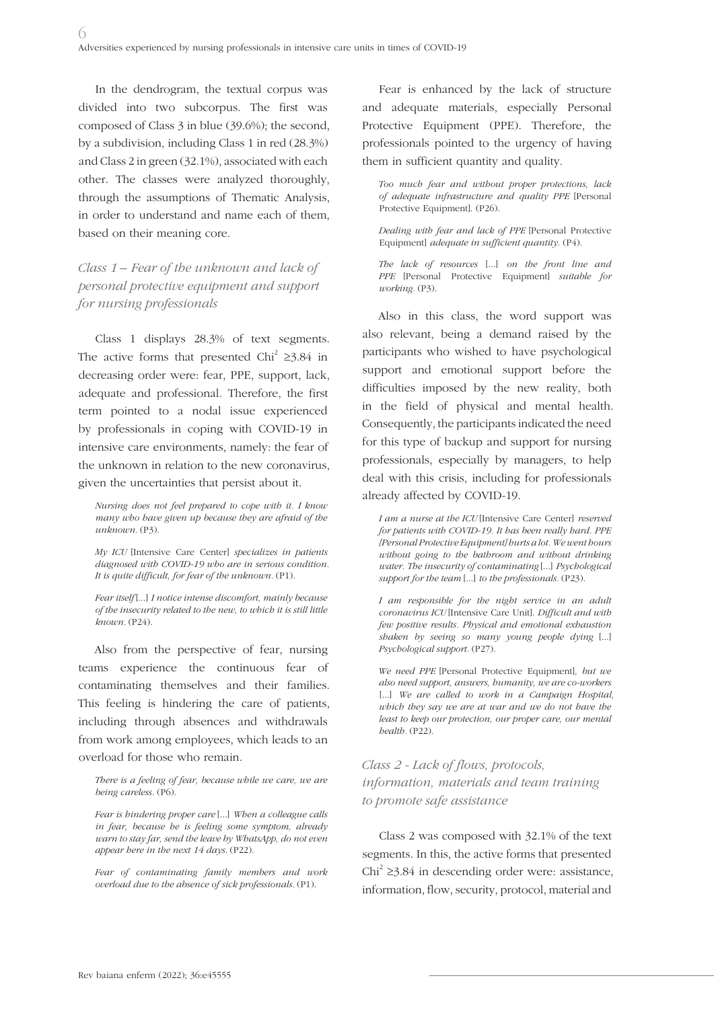In the dendrogram, the textual corpus was divided into two subcorpus. The first was composed of Class 3 in blue (39.6%); the second, by a subdivision, including Class 1 in red (28.3%) and Class 2 in green (32.1%), associated with each other. The classes were analyzed thoroughly, through the assumptions of Thematic Analysis, in order to understand and name each of them, based on their meaning core.

# *Class 1 – Fear of the unknown and lack of personal protective equipment and support for nursing professionals*

Class 1 displays 28.3% of text segments. The active forms that presented Chi<sup>2</sup> ≥3.84 in decreasing order were: fear, PPE, support, lack, adequate and professional. Therefore, the first term pointed to a nodal issue experienced by professionals in coping with COVID-19 in intensive care environments, namely: the fear of the unknown in relation to the new coronavirus, given the uncertainties that persist about it.

*Nursing does not feel prepared to cope with it. I know many who have given up because they are afraid of the unknown.* (P3).

*My ICU* [Intensive Care Center] *specializes in patients diagnosed with COVID-19 who are in serious condition. It is quite difficult, for fear of the unknown.* (P1).

*Fear itself* [...] *I notice intense discomfort, mainly because of the insecurity related to the new, to which it is still little known.* (P24).

Also from the perspective of fear, nursing teams experience the continuous fear of contaminating themselves and their families. This feeling is hindering the care of patients, including through absences and withdrawals from work among employees, which leads to an overload for those who remain.

*There is a feeling of fear, because while we care, we are being careless.* (P6).

*Fear is hindering proper care* [...] *When a colleague calls in fear, because he is feeling some symptom, already warn to stay far, send the leave by WhatsApp, do not even appear here in the next 14 days.* (P22).

*Fear of contaminating family members and work overload due to the absence of sick professionals.* (P1).

Fear is enhanced by the lack of structure and adequate materials, especially Personal Protective Equipment (PPE). Therefore, the professionals pointed to the urgency of having them in sufficient quantity and quality.

*Too much fear and without proper protections, lack of adequate infrastructure and quality PPE* [Personal Protective Equipment]. (P26).

*Dealing with fear and lack of PPE* [Personal Protective Equipment] *adequate in sufficient quantity.* (P4).

*The lack of resources* [...] *on the front line and PPE* [Personal Protective Equipment] *suitable for working.* (P3).

Also in this class, the word support was also relevant, being a demand raised by the participants who wished to have psychological support and emotional support before the difficulties imposed by the new reality, both in the field of physical and mental health. Consequently, the participants indicated the need for this type of backup and support for nursing professionals, especially by managers, to help deal with this crisis, including for professionals already affected by COVID-19.

*I am a nurse at the ICU* [Intensive Care Center] *reserved for patients with COVID-19. It has been really hard. PPE [Personal Protective Equipment] hurts a lot. We went hours without going to the bathroom and without drinking water. The insecurity of contaminating* [...] *Psychological support for the team* [...] *to the professionals.* (P23).

*I am responsible for the night service in an adult coronavirus ICU* [Intensive Care Unit]. *Difficult and with few positive results. Physical and emotional exhaustion shaken by seeing so many young people dying* [...] *Psychological support.* (P27).

*We need PPE* [Personal Protective Equipment]*, but we also need support, answers, humanity, we are co-workers*  [...] We are called to work in a Campaign Hospital, *which they say we are at war and we do not have the least to keep our protection, our proper care, our mental health.* (P22).

# *Class 2 - Lack of flows, protocols, information, materials and team training to promote safe assistance*

Class 2 was composed with 32.1% of the text segments. In this, the active forms that presented Chi<sup>2</sup> ≥3.84 in descending order were: assistance, information, flow, security, protocol, material and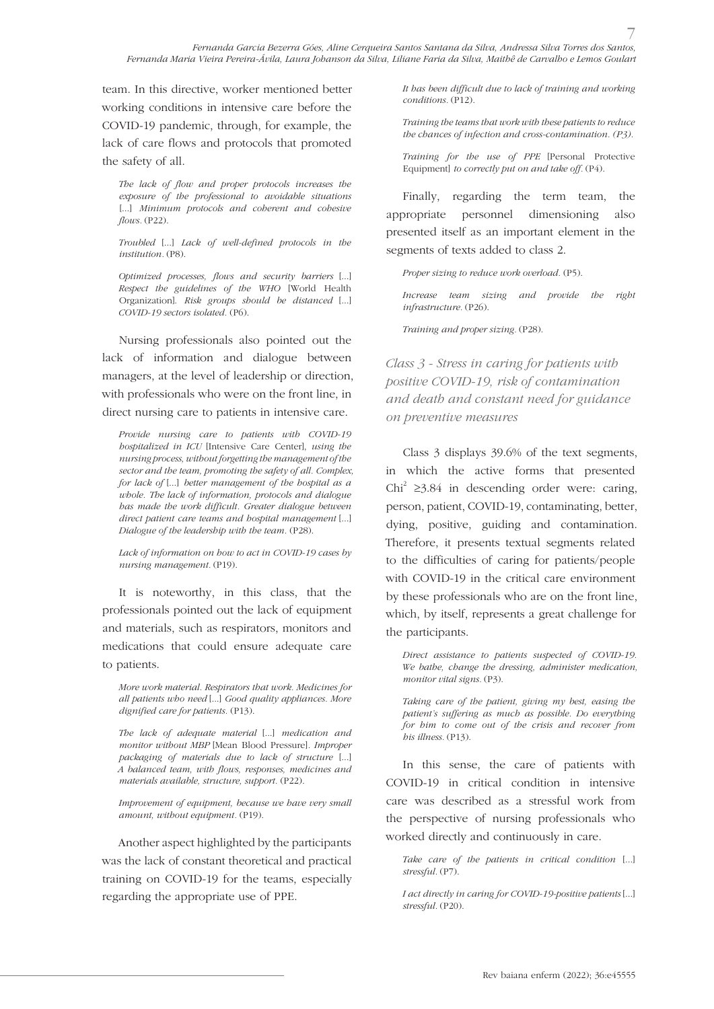team. In this directive, worker mentioned better working conditions in intensive care before the COVID-19 pandemic, through, for example, the lack of care flows and protocols that promoted the safety of all.

*The lack of flow and proper protocols increases the exposure of the professional to avoidable situations* [...] *Minimum protocols and coherent and cohesive flows.* (P22).

*Troubled* [...] *Lack of well-defined protocols in the institution.* (P8).

*Optimized processes, flows and security barriers* [...] *Respect the guidelines of the WHO* [World Health Organization]. *Risk groups should be distanced* [...] *COVID-19 sectors isolated.* (P6).

Nursing professionals also pointed out the lack of information and dialogue between managers, at the level of leadership or direction, with professionals who were on the front line, in direct nursing care to patients in intensive care.

*Provide nursing care to patients with COVID-19 hospitalized in ICU* [Intensive Care Center], *using the nursing process, without forgetting the management of the sector and the team, promoting the safety of all. Complex, for lack of* [...] *better management of the hospital as a whole. The lack of information, protocols and dialogue has made the work difficult. Greater dialogue between direct patient care teams and hospital management* [...] *Dialogue of the leadership with the team.* (P28).

*Lack of information on how to act in COVID-19 cases by nursing management.* (P19).

It is noteworthy, in this class, that the professionals pointed out the lack of equipment and materials, such as respirators, monitors and medications that could ensure adequate care to patients.

*More work material. Respirators that work. Medicines for all patients who need* [...] *Good quality appliances. More dignified care for patients.* (P13).

*The lack of adequate material* [...] *medication and monitor without MBP* [Mean Blood Pressure]*. Improper packaging of materials due to lack of structure* [...] *A balanced team, with flows, responses, medicines and materials available, structure, support.* (P22).

*Improvement of equipment, because we have very small amount, without equipment.* (P19).

Another aspect highlighted by the participants was the lack of constant theoretical and practical training on COVID-19 for the teams, especially regarding the appropriate use of PPE.

*It has been difficult due to lack of training and working conditions.* (P12).

*Training the teams that work with these patients to reduce the chances of infection and cross-contamination. (P3).*

*Training for the use of PPE* [Personal Protective Equipment] *to correctly put on and take off.* (P4).

Finally, regarding the term team, the appropriate personnel dimensioning also presented itself as an important element in the segments of texts added to class 2.

*Proper sizing to reduce work overload.* (P5).

*Increase team sizing and provide the right infrastructure.* (P26).

*Training and proper sizing.* (P28).

*Class 3 - Stress in caring for patients with positive COVID-19, risk of contamination and death and constant need for guidance on preventive measures*

Class 3 displays 39.6% of the text segments, in which the active forms that presented Chi<sup>2</sup> ≥3.84 in descending order were: caring, person, patient, COVID-19, contaminating, better, dying, positive, guiding and contamination. Therefore, it presents textual segments related to the difficulties of caring for patients/people with COVID-19 in the critical care environment by these professionals who are on the front line, which, by itself, represents a great challenge for the participants.

*Direct assistance to patients suspected of COVID-19. We bathe, change the dressing, administer medication, monitor vital signs.* (P3).

*Taking care of the patient, giving my best, easing the patient's suffering as much as possible. Do everything for him to come out of the crisis and recover from his illness.* (P13).

In this sense, the care of patients with COVID-19 in critical condition in intensive care was described as a stressful work from the perspective of nursing professionals who worked directly and continuously in care.

*Take care of the patients in critical condition* [...] *stressful.* (P7).

*I act directly in caring for COVID-19-positive patients* [...] *stressful.* (P20).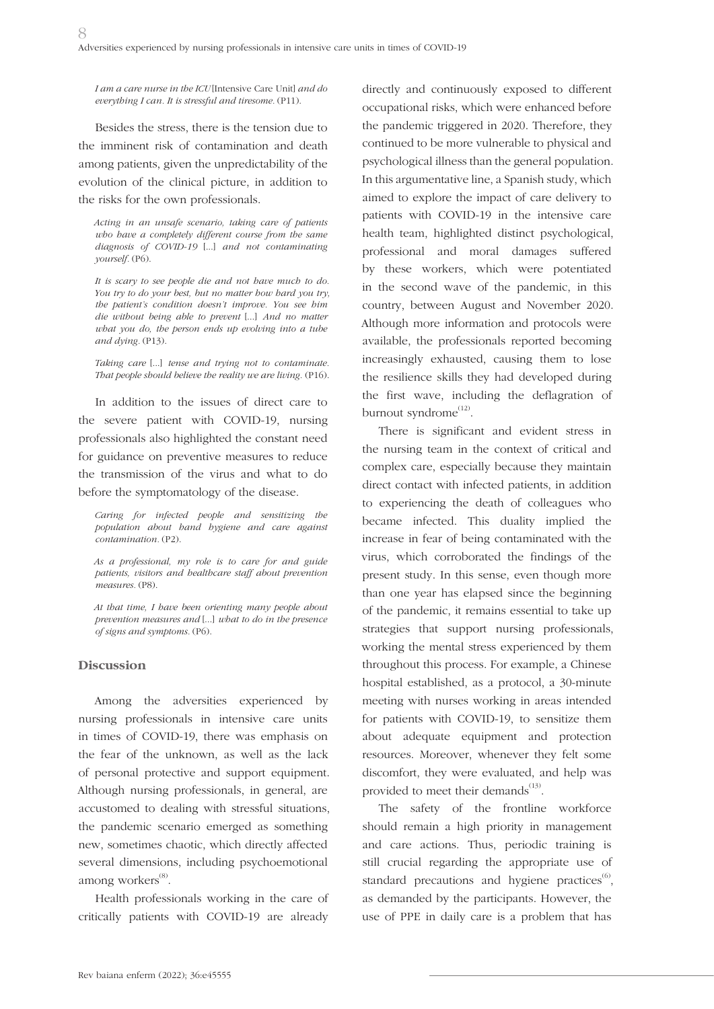*I am a care nurse in the ICU* [Intensive Care Unit] *and do everything I can. It is stressful and tiresome.* (P11).

Besides the stress, there is the tension due to the imminent risk of contamination and death among patients, given the unpredictability of the evolution of the clinical picture, in addition to the risks for the own professionals.

*Acting in an unsafe scenario, taking care of patients who have a completely different course from the same diagnosis of COVID-19* [...] *and not contaminating yourself.* (P6).

*It is scary to see people die and not have much to do. You try to do your best, but no matter how hard you try, the patient's condition doesn't improve. You see him die without being able to prevent* [...] *And no matter what you do, the person ends up evolving into a tube and dying.* (P13).

*Taking care* [...] *tense and trying not to contaminate. That people should believe the reality we are living.* (P16).

In addition to the issues of direct care to the severe patient with COVID-19, nursing professionals also highlighted the constant need for guidance on preventive measures to reduce the transmission of the virus and what to do before the symptomatology of the disease.

*Caring for infected people and sensitizing the population about hand hygiene and care against contamination.* (P2).

*As a professional, my role is to care for and guide patients, visitors and healthcare staff about prevention measures.* (P8).

*At that time, I have been orienting many people about prevention measures and* [...] *what to do in the presence of signs and symptoms.* (P6).

### **Discussion**

Among the adversities experienced by nursing professionals in intensive care units in times of COVID-19, there was emphasis on the fear of the unknown, as well as the lack of personal protective and support equipment. Although nursing professionals, in general, are accustomed to dealing with stressful situations, the pandemic scenario emerged as something new, sometimes chaotic, which directly affected several dimensions, including psychoemotional among workers<sup>(8)</sup>.

Health professionals working in the care of critically patients with COVID-19 are already

directly and continuously exposed to different occupational risks, which were enhanced before the pandemic triggered in 2020. Therefore, they continued to be more vulnerable to physical and psychological illness than the general population. In this argumentative line, a Spanish study, which aimed to explore the impact of care delivery to patients with COVID-19 in the intensive care health team, highlighted distinct psychological, professional and moral damages suffered by these workers, which were potentiated in the second wave of the pandemic, in this country, between August and November 2020. Although more information and protocols were available, the professionals reported becoming increasingly exhausted, causing them to lose the resilience skills they had developed during the first wave, including the deflagration of burnout syndrome<sup>(12)</sup>.

There is significant and evident stress in the nursing team in the context of critical and complex care, especially because they maintain direct contact with infected patients, in addition to experiencing the death of colleagues who became infected. This duality implied the increase in fear of being contaminated with the virus, which corroborated the findings of the present study. In this sense, even though more than one year has elapsed since the beginning of the pandemic, it remains essential to take up strategies that support nursing professionals, working the mental stress experienced by them throughout this process. For example, a Chinese hospital established, as a protocol, a 30-minute meeting with nurses working in areas intended for patients with COVID-19, to sensitize them about adequate equipment and protection resources. Moreover, whenever they felt some discomfort, they were evaluated, and help was provided to meet their demands $^{(13)}$ .

The safety of the frontline workforce should remain a high priority in management and care actions. Thus, periodic training is still crucial regarding the appropriate use of standard precautions and hygiene practices<sup>(6)</sup>, as demanded by the participants. However, the use of PPE in daily care is a problem that has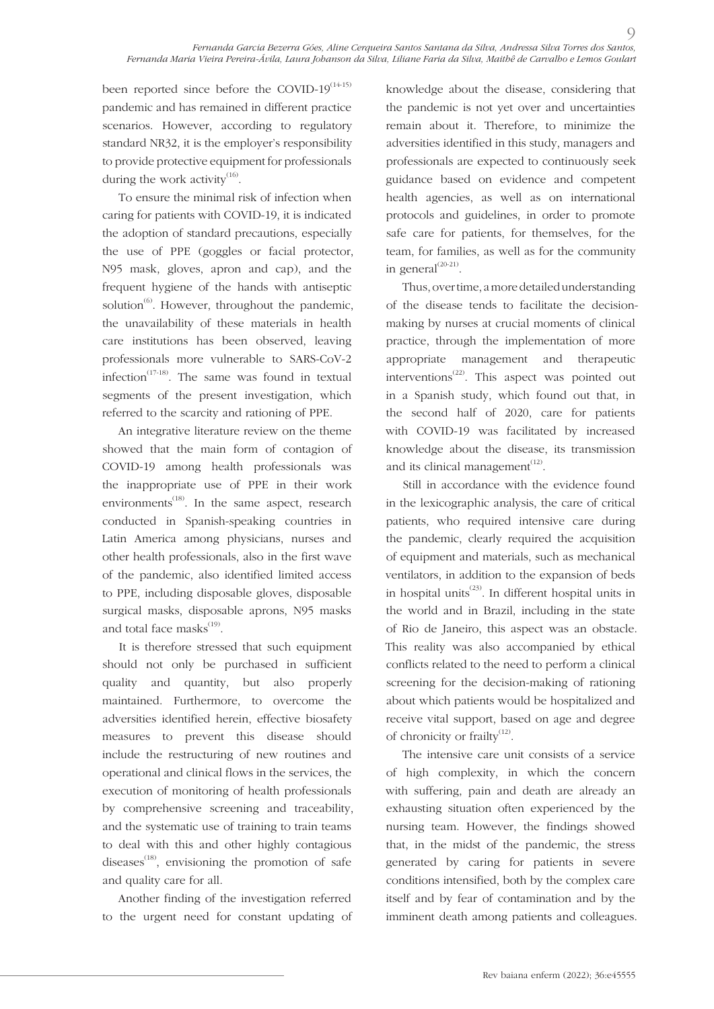been reported since before the COVID- $19^{(14\cdot15)}$ pandemic and has remained in different practice scenarios. However, according to regulatory standard NR32, it is the employer's responsibility to provide protective equipment for professionals during the work activity<sup>(16)</sup>.

To ensure the minimal risk of infection when caring for patients with COVID-19, it is indicated the adoption of standard precautions, especially the use of PPE (goggles or facial protector, N95 mask, gloves, apron and cap), and the frequent hygiene of the hands with antiseptic solution $^{(6)}$ . However, throughout the pandemic, the unavailability of these materials in health care institutions has been observed, leaving professionals more vulnerable to SARS-CoV-2 infection<sup> $(17-18)$ </sup>. The same was found in textual segments of the present investigation, which referred to the scarcity and rationing of PPE.

An integrative literature review on the theme showed that the main form of contagion of COVID-19 among health professionals was the inappropriate use of PPE in their work environments<sup> $(18)$ </sup>. In the same aspect, research conducted in Spanish-speaking countries in Latin America among physicians, nurses and other health professionals, also in the first wave of the pandemic, also identified limited access to PPE, including disposable gloves, disposable surgical masks, disposable aprons, N95 masks and total face masks $^{(19)}$ .

It is therefore stressed that such equipment should not only be purchased in sufficient quality and quantity, but also properly maintained. Furthermore, to overcome the adversities identified herein, effective biosafety measures to prevent this disease should include the restructuring of new routines and operational and clinical flows in the services, the execution of monitoring of health professionals by comprehensive screening and traceability, and the systematic use of training to train teams to deal with this and other highly contagious diseases $^{(18)}$ , envisioning the promotion of safe and quality care for all.

Another finding of the investigation referred to the urgent need for constant updating of

knowledge about the disease, considering that the pandemic is not yet over and uncertainties remain about it. Therefore, to minimize the adversities identified in this study, managers and professionals are expected to continuously seek guidance based on evidence and competent health agencies, as well as on international protocols and guidelines, in order to promote safe care for patients, for themselves, for the team, for families, as well as for the community in general<sup>(20-21)</sup>.

 $\circ$ 

Thus, over time, a more detailed understanding of the disease tends to facilitate the decisionmaking by nurses at crucial moments of clinical practice, through the implementation of more appropriate management and therapeutic interventions<sup> $(22)$ </sup>. This aspect was pointed out in a Spanish study, which found out that, in the second half of 2020, care for patients with COVID-19 was facilitated by increased knowledge about the disease, its transmission and its clinical management $(12)$ .

Still in accordance with the evidence found in the lexicographic analysis, the care of critical patients, who required intensive care during the pandemic, clearly required the acquisition of equipment and materials, such as mechanical ventilators, in addition to the expansion of beds in hospital units<sup> $(23)$ </sup>. In different hospital units in the world and in Brazil, including in the state of Rio de Janeiro, this aspect was an obstacle. This reality was also accompanied by ethical conflicts related to the need to perform a clinical screening for the decision-making of rationing about which patients would be hospitalized and receive vital support, based on age and degree of chronicity or frailty $^{(12)}$ .

The intensive care unit consists of a service of high complexity, in which the concern with suffering, pain and death are already an exhausting situation often experienced by the nursing team. However, the findings showed that, in the midst of the pandemic, the stress generated by caring for patients in severe conditions intensified, both by the complex care itself and by fear of contamination and by the imminent death among patients and colleagues.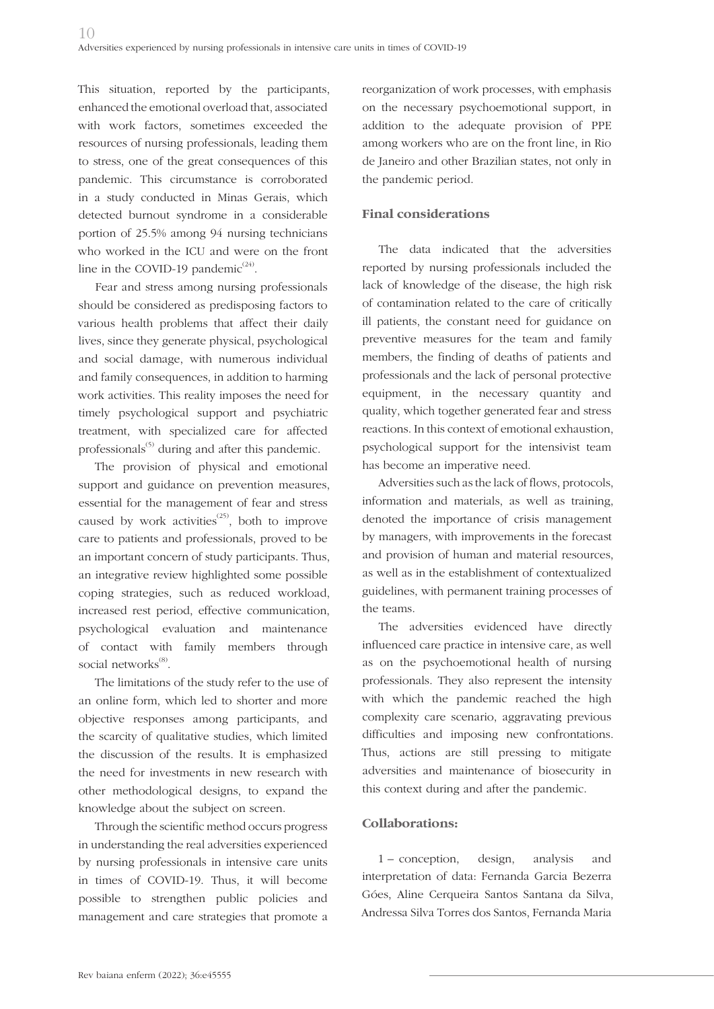This situation, reported by the participants, enhanced the emotional overload that, associated with work factors, sometimes exceeded the resources of nursing professionals, leading them to stress, one of the great consequences of this pandemic. This circumstance is corroborated in a study conducted in Minas Gerais, which detected burnout syndrome in a considerable portion of 25.5% among 94 nursing technicians who worked in the ICU and were on the front line in the COVID-19 pandemic $^{(24)}$ .

Fear and stress among nursing professionals should be considered as predisposing factors to various health problems that affect their daily lives, since they generate physical, psychological and social damage, with numerous individual and family consequences, in addition to harming work activities. This reality imposes the need for timely psychological support and psychiatric treatment, with specialized care for affected professionals<sup>(5)</sup> during and after this pandemic.

The provision of physical and emotional support and guidance on prevention measures, essential for the management of fear and stress caused by work activities<sup> $(25)$ </sup>, both to improve care to patients and professionals, proved to be an important concern of study participants. Thus, an integrative review highlighted some possible coping strategies, such as reduced workload, increased rest period, effective communication, psychological evaluation and maintenance of contact with family members through social networks<sup>(8)</sup>.

The limitations of the study refer to the use of an online form, which led to shorter and more objective responses among participants, and the scarcity of qualitative studies, which limited the discussion of the results. It is emphasized the need for investments in new research with other methodological designs, to expand the knowledge about the subject on screen.

Through the scientific method occurs progress in understanding the real adversities experienced by nursing professionals in intensive care units in times of COVID-19. Thus, it will become possible to strengthen public policies and management and care strategies that promote a reorganization of work processes, with emphasis on the necessary psychoemotional support, in addition to the adequate provision of PPE among workers who are on the front line, in Rio de Janeiro and other Brazilian states, not only in the pandemic period.

## **Final considerations**

The data indicated that the adversities reported by nursing professionals included the lack of knowledge of the disease, the high risk of contamination related to the care of critically ill patients, the constant need for guidance on preventive measures for the team and family members, the finding of deaths of patients and professionals and the lack of personal protective equipment, in the necessary quantity and quality, which together generated fear and stress reactions. In this context of emotional exhaustion, psychological support for the intensivist team has become an imperative need.

Adversities such as the lack of flows, protocols, information and materials, as well as training, denoted the importance of crisis management by managers, with improvements in the forecast and provision of human and material resources, as well as in the establishment of contextualized guidelines, with permanent training processes of the teams.

The adversities evidenced have directly influenced care practice in intensive care, as well as on the psychoemotional health of nursing professionals. They also represent the intensity with which the pandemic reached the high complexity care scenario, aggravating previous difficulties and imposing new confrontations. Thus, actions are still pressing to mitigate adversities and maintenance of biosecurity in this context during and after the pandemic.

## **Collaborations:**

1 – conception, design, analysis and interpretation of data: Fernanda Garcia Bezerra Góes, Aline Cerqueira Santos Santana da Silva, Andressa Silva Torres dos Santos, Fernanda Maria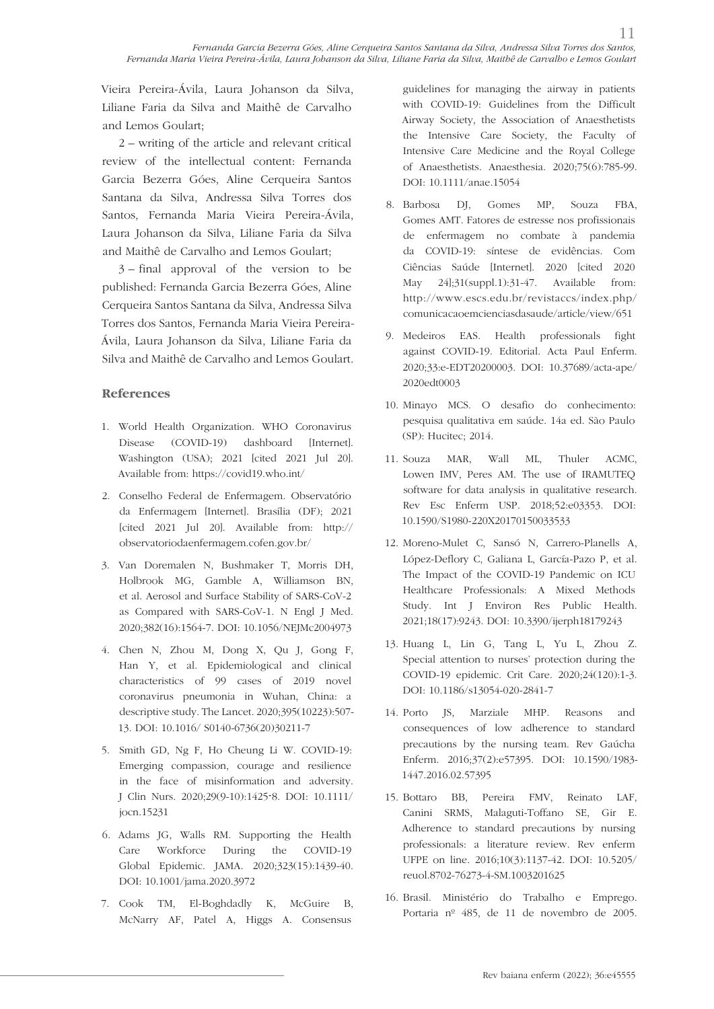Vieira Pereira-Ávila, Laura Johanson da Silva, Liliane Faria da Silva and Maithê de Carvalho and Lemos Goulart;

2 – writing of the article and relevant critical review of the intellectual content: Fernanda Garcia Bezerra Góes, Aline Cerqueira Santos Santana da Silva, Andressa Silva Torres dos Santos, Fernanda Maria Vieira Pereira-Ávila, Laura Johanson da Silva, Liliane Faria da Silva and Maithê de Carvalho and Lemos Goulart;

3 – final approval of the version to be published: Fernanda Garcia Bezerra Góes, Aline Cerqueira Santos Santana da Silva, Andressa Silva Torres dos Santos, Fernanda Maria Vieira Pereira-Ávila, Laura Johanson da Silva, Liliane Faria da Silva and Maithê de Carvalho and Lemos Goulart.

## **References**

- 1. World Health Organization. WHO Coronavirus Disease (COVID-19) dashboard [Internet]. Washington (USA); 2021 [cited 2021 Jul 20]. Available from: https://covid19.who.int/
- 2. Conselho Federal de Enfermagem. Observatório da Enfermagem [Internet]. Brasília (DF); 2021 [cited 2021 Jul 20]. Available from: http:// observatoriodaenfermagem.cofen.gov.br/
- 3. Van Doremalen N, Bushmaker T, Morris DH, Holbrook MG, Gamble A, Williamson BN, et al. Aerosol and Surface Stability of SARS-CoV-2 as Compared with SARS-CoV-1. N Engl J Med. 2020;382(16):1564-7. DOI: 10.1056/NEJMc2004973
- 4. Chen N, Zhou M, Dong X, Qu J, Gong F, Han Y, et al. Epidemiological and clinical characteristics of 99 cases of 2019 novel coronavirus pneumonia in Wuhan, China: a descriptive study. The Lancet. 2020;395(10223):507- 13. DOI: 10.1016/ S0140-6736(20)30211-7
- 5. Smith GD, Ng F, Ho Cheung Li W. COVID-19: Emerging compassion, courage and resilience in the face of misinformation and adversity. J Clin Nurs. 2020;29(9-10):1425-8. DOI: 10.1111/ jocn.15231
- 6. Adams JG, Walls RM. Supporting the Health Care Workforce During the COVID-19 Global Epidemic. JAMA. 2020;323(15):1439-40. DOI: 10.1001/jama.2020.3972
- 7. Cook TM, El-Boghdadly K, McGuire B, McNarry AF, Patel A, Higgs A. Consensus

guidelines for managing the airway in patients with COVID-19: Guidelines from the Difficult Airway Society, the Association of Anaesthetists the Intensive Care Society, the Faculty of Intensive Care Medicine and the Royal College of Anaesthetists. Anaesthesia. 2020;75(6):785-99. DOI: 10.1111/anae.15054

- 8. Barbosa DJ, Gomes MP, Souza FBA, Gomes AMT. Fatores de estresse nos profissionais de enfermagem no combate à pandemia da COVID-19: síntese de evidências. Com Ciências Saúde [Internet]. 2020 [cited 2020 May 24];31(suppl.1):31-47. Available from: http://www.escs.edu.br/revistaccs/index.php/ comunicacaoemcienciasdasaude/article/view/651
- 9. Medeiros EAS. Health professionals fight against COVID-19. Editorial. Acta Paul Enferm. 2020;33:e-EDT20200003. DOI: 10.37689/acta-ape/ 2020edt0003
- 10. Minayo MCS. O desafio do conhecimento: pesquisa qualitativa em saúde. 14a ed. São Paulo (SP): Hucitec; 2014.
- 11. Souza MAR, Wall ML, Thuler ACMC, Lowen IMV, Peres AM. The use of IRAMUTEQ software for data analysis in qualitative research. Rev Esc Enferm USP. 2018;52:e03353. DOI: 10.1590/S1980-220X20170150033533
- 12. Moreno-Mulet C, Sansó N, Carrero-Planells A, López-Deflory C, Galiana L, García-Pazo P, et al. The Impact of the COVID-19 Pandemic on ICU Healthcare Professionals: A Mixed Methods Study. Int J Environ Res Public Health. 2021;18(17):9243. DOI: 10.3390/ijerph18179243
- 13. Huang L, Lin G, Tang L, Yu L, Zhou Z. Special attention to nurses' protection during the COVID-19 epidemic. Crit Care. 2020;24(120):1-3. DOI: 10.1186/s13054-020-2841-7
- 14. Porto JS, Marziale MHP. Reasons and consequences of low adherence to standard precautions by the nursing team. Rev Gaúcha Enferm. 2016;37(2):e57395. DOI: 10.1590/1983- 1447.2016.02.57395
- 15. Bottaro BB, Pereira FMV, Reinato LAF, Canini SRMS, Malaguti-Toffano SE, Gir E. Adherence to standard precautions by nursing professionals: a literature review. Rev enferm UFPE on line. 2016;10(3):1137-42. DOI: 10.5205/ reuol.8702-76273-4-SM.1003201625
- 16. Brasil. Ministério do Trabalho e Emprego. Portaria nº 485, de 11 de novembro de 2005.